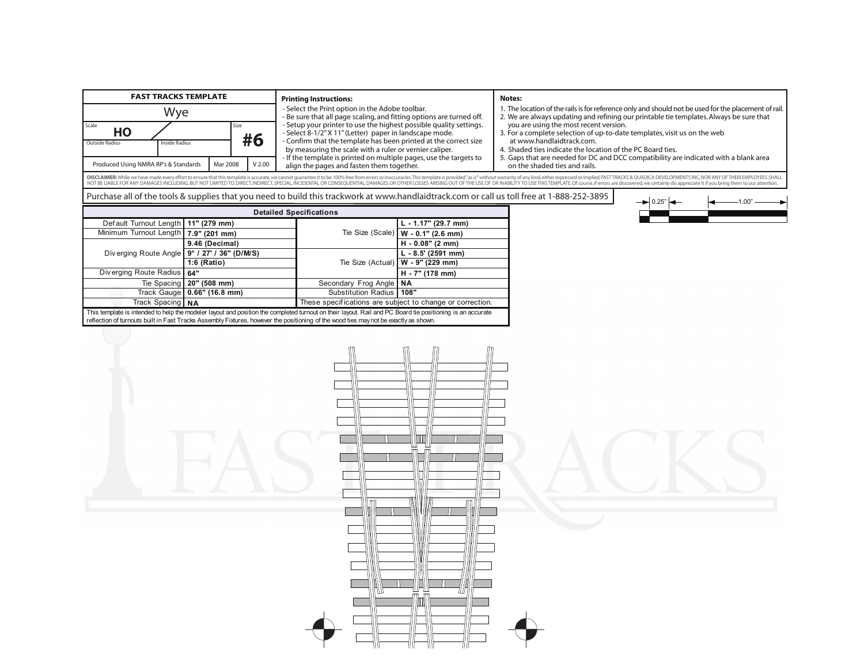